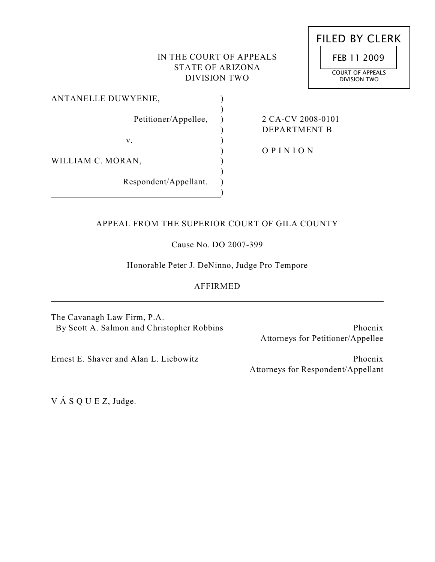# IN THE COURT OF APPEALS STATE OF ARIZONA DIVISION TWO

 $\lambda$  $\lambda$  $\lambda$  $\lambda$ ) ) ) ) ) )

| FILED BY CLERK                   |
|----------------------------------|
| FEB 11 2009                      |
| COURT OF APPEALS<br>DIVISION TWO |

ANTANELLE DUWYENIE,

Petitioner/Appellee,

2 CA-CV 2008-0101 DEPARTMENT B

v.

WILLIAM C. MORAN,

Respondent/Appellant.

O P I N I O N

# APPEAL FROM THE SUPERIOR COURT OF GILA COUNTY

Cause No. DO 2007-399

Honorable Peter J. DeNinno, Judge Pro Tempore

# AFFIRMED

The Cavanagh Law Firm, P.A. By Scott A. Salmon and Christopher Robbins

Phoenix Attorneys for Petitioner/Appellee

Phoenix

Attorneys for Respondent/Appellant

Ernest E. Shaver and Alan L. Liebowitz

V Á S Q U E Z, Judge.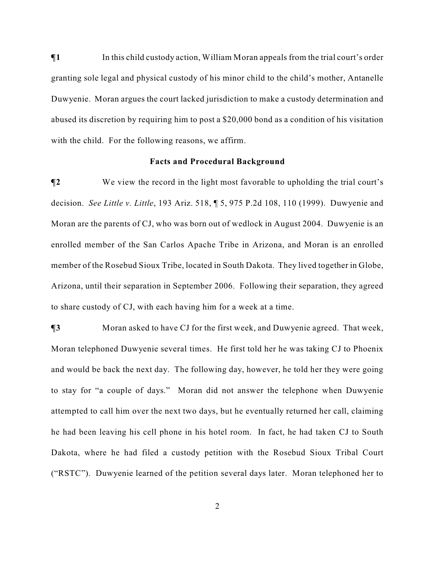$\P$ **1** In this child custody action, William Moran appeals from the trial court's order granting sole legal and physical custody of his minor child to the child's mother, Antanelle Duwyenie. Moran argues the court lacked jurisdiction to make a custody determination and abused its discretion by requiring him to post a \$20,000 bond as a condition of his visitation with the child. For the following reasons, we affirm.

## **Facts and Procedural Background**

**¶2** We view the record in the light most favorable to upholding the trial court's decision. *See Little v. Little*, 193 Ariz. 518, ¶ 5, 975 P.2d 108, 110 (1999). Duwyenie and Moran are the parents of CJ, who was born out of wedlock in August 2004. Duwyenie is an enrolled member of the San Carlos Apache Tribe in Arizona, and Moran is an enrolled member of the Rosebud Sioux Tribe, located in South Dakota. They lived together in Globe, Arizona, until their separation in September 2006. Following their separation, they agreed to share custody of CJ, with each having him for a week at a time.

**¶3** Moran asked to have CJ for the first week, and Duwyenie agreed. That week, Moran telephoned Duwyenie several times. He first told her he was taking CJ to Phoenix and would be back the next day. The following day, however, he told her they were going to stay for "a couple of days." Moran did not answer the telephone when Duwyenie attempted to call him over the next two days, but he eventually returned her call, claiming he had been leaving his cell phone in his hotel room. In fact, he had taken CJ to South Dakota, where he had filed a custody petition with the Rosebud Sioux Tribal Court ("RSTC"). Duwyenie learned of the petition several days later. Moran telephoned her to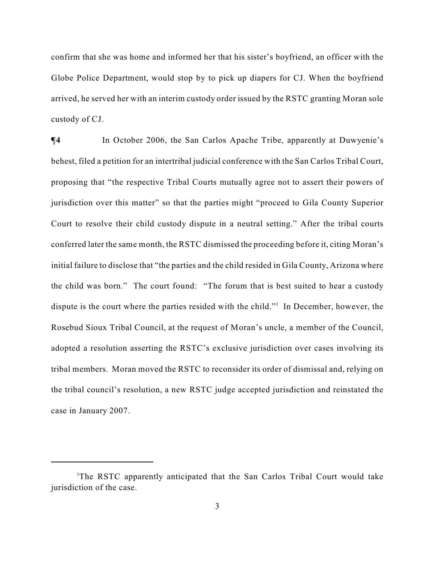confirm that she was home and informed her that his sister's boyfriend, an officer with the Globe Police Department, would stop by to pick up diapers for CJ. When the boyfriend arrived, he served her with an interim custody order issued by the RSTC granting Moran sole custody of CJ.

 $\P$ **4** In October 2006, the San Carlos Apache Tribe, apparently at Duwyenie's behest, filed a petition for an intertribal judicial conference with the San Carlos Tribal Court, proposing that "the respective Tribal Courts mutually agree not to assert their powers of jurisdiction over this matter" so that the parties might "proceed to Gila County Superior Court to resolve their child custody dispute in a neutral setting." After the tribal courts conferred later the same month, the RSTC dismissed the proceeding before it, citing Moran's initial failure to disclose that "the parties and the child resided in Gila County, Arizona where the child was born." The court found: "The forum that is best suited to hear a custody dispute is the court where the parties resided with the child."<sup>1</sup> In December, however, the Rosebud Sioux Tribal Council, at the request of Moran's uncle, a member of the Council, adopted a resolution asserting the RSTC's exclusive jurisdiction over cases involving its tribal members. Moran moved the RSTC to reconsider its order of dismissal and, relying on the tribal council's resolution, a new RSTC judge accepted jurisdiction and reinstated the case in January 2007.

<sup>&</sup>lt;sup>1</sup>The RSTC apparently anticipated that the San Carlos Tribal Court would take jurisdiction of the case.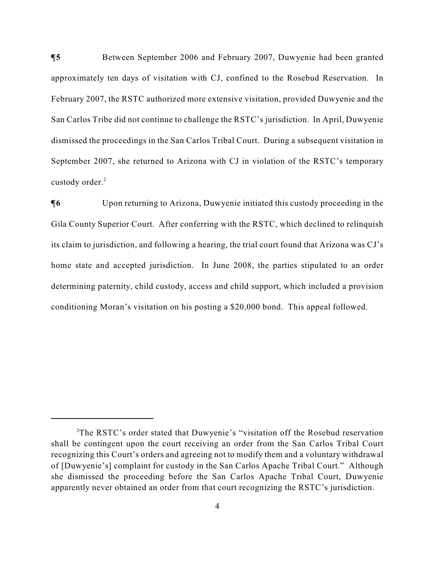**¶5** Between September 2006 and February 2007, Duwyenie had been granted approximately ten days of visitation with CJ, confined to the Rosebud Reservation. In February 2007, the RSTC authorized more extensive visitation, provided Duwyenie and the San Carlos Tribe did not continue to challenge the RSTC's jurisdiction. In April, Duwyenie dismissed the proceedings in the San Carlos Tribal Court. During a subsequent visitation in September 2007, she returned to Arizona with CJ in violation of the RSTC's temporary custody order.<sup>2</sup>

 $\P$ **6** Upon returning to Arizona, Duwyenie initiated this custody proceeding in the Gila County Superior Court. After conferring with the RSTC, which declined to relinquish its claim to jurisdiction, and following a hearing, the trial court found that Arizona was CJ's home state and accepted jurisdiction. In June 2008, the parties stipulated to an order determining paternity, child custody, access and child support, which included a provision conditioning Moran's visitation on his posting a \$20,000 bond. This appeal followed.

<sup>&</sup>lt;sup>2</sup>The RSTC's order stated that Duwyenie's "visitation off the Rosebud reservation shall be contingent upon the court receiving an order from the San Carlos Tribal Court recognizing this Court's orders and agreeing not to modify them and a voluntary withdrawal of [Duwyenie's] complaint for custody in the San Carlos Apache Tribal Court." Although she dismissed the proceeding before the San Carlos Apache Tribal Court, Duwyenie apparently never obtained an order from that court recognizing the RSTC's jurisdiction.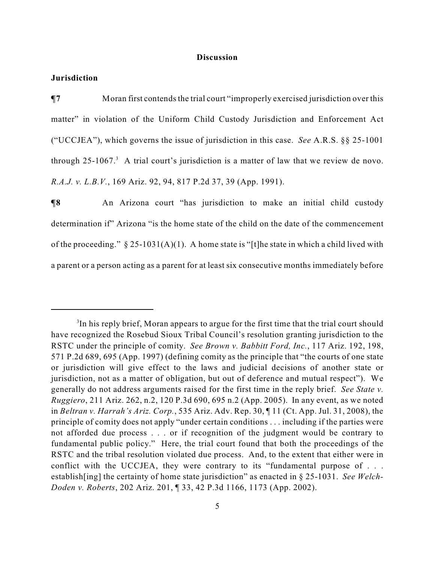#### **Discussion**

# **Jurisdiction**

**¶7** Moran first contends the trial court "improperly exercised jurisdiction over this matter" in violation of the Uniform Child Custody Jurisdiction and Enforcement Act ("UCCJEA"), which governs the issue of jurisdiction in this case. *See* A.R.S. §§ 25-1001 through  $25$ -1067.<sup>3</sup> A trial court's jurisdiction is a matter of law that we review de novo. *R.A.J. v. L.B.V.*, 169 Ariz. 92, 94, 817 P.2d 37, 39 (App. 1991).

**¶8** An Arizona court "has jurisdiction to make an initial child custody determination if" Arizona "is the home state of the child on the date of the commencement of the proceeding."  $\S 25-1031(A)(1)$ . A home state is "[t]he state in which a child lived with a parent or a person acting as a parent for at least six consecutive months immediately before

<sup>&</sup>lt;sup>3</sup>In his reply brief, Moran appears to argue for the first time that the trial court should have recognized the Rosebud Sioux Tribal Council's resolution granting jurisdiction to the RSTC under the principle of comity. *See Brown v. Babbitt Ford, Inc.*, 117 Ariz. 192, 198, 571 P.2d 689, 695 (App. 1997) (defining comity as the principle that "the courts of one state or jurisdiction will give effect to the laws and judicial decisions of another state or jurisdiction, not as a matter of obligation, but out of deference and mutual respect"). We generally do not address arguments raised for the first time in the reply brief. *See State v. Ruggiero*, 211 Ariz. 262, n.2, 120 P.3d 690, 695 n.2 (App. 2005). In any event, as we noted in *Beltran v. Harrah's Ariz. Corp.*, 535 Ariz. Adv. Rep. 30, ¶ 11 (Ct. App. Jul. 31, 2008), the principle of comity does not apply "under certain conditions . . . including if the parties were not afforded due process . . . or if recognition of the judgment would be contrary to fundamental public policy." Here, the trial court found that both the proceedings of the RSTC and the tribal resolution violated due process. And, to the extent that either were in conflict with the UCCJEA, they were contrary to its "fundamental purpose of . . . establish[ing] the certainty of home state jurisdiction" as enacted in § 25-1031. *See Welch-Doden v. Roberts*, 202 Ariz. 201, ¶ 33, 42 P.3d 1166, 1173 (App. 2002).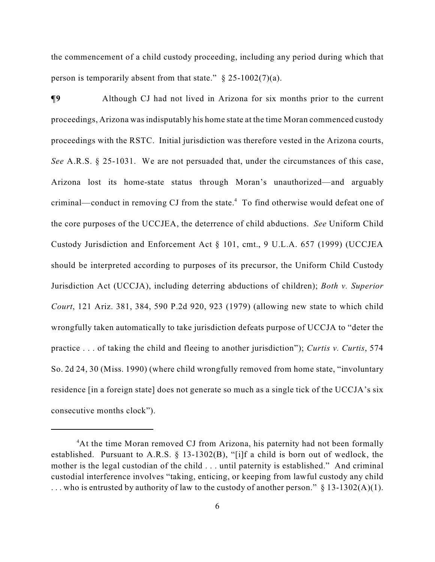the commencement of a child custody proceeding, including any period during which that person is temporarily absent from that state."  $\S$  25-1002(7)(a).

**¶9** Although CJ had not lived in Arizona for six months prior to the current proceedings, Arizona was indisputably his home state at the time Moran commenced custody proceedings with the RSTC. Initial jurisdiction was therefore vested in the Arizona courts, *See* A.R.S. § 25-1031. We are not persuaded that, under the circumstances of this case, Arizona lost its home-state status through Moran's unauthorized—and arguably criminal—conduct in removing CJ from the state.<sup>4</sup> To find otherwise would defeat one of the core purposes of the UCCJEA, the deterrence of child abductions. *See* Uniform Child Custody Jurisdiction and Enforcement Act § 101, cmt., 9 U.L.A. 657 (1999) (UCCJEA should be interpreted according to purposes of its precursor, the Uniform Child Custody Jurisdiction Act (UCCJA), including deterring abductions of children); *Both v. Superior Court*, 121 Ariz. 381, 384, 590 P.2d 920, 923 (1979) (allowing new state to which child wrongfully taken automatically to take jurisdiction defeats purpose of UCCJA to "deter the practice . . . of taking the child and fleeing to another jurisdiction"); *Curtis v. Curtis*, 574 So. 2d 24, 30 (Miss. 1990) (where child wrongfully removed from home state, "involuntary residence [in a foreign state] does not generate so much as a single tick of the UCCJA's six consecutive months clock").

<sup>&</sup>lt;sup>4</sup>At the time Moran removed CJ from Arizona, his paternity had not been formally established. Pursuant to A.R.S. § 13-1302(B), "[i]f a child is born out of wedlock, the mother is the legal custodian of the child . . . until paternity is established." And criminal custodial interference involves "taking, enticing, or keeping from lawful custody any child ... who is entrusted by authority of law to the custody of another person."  $\S$  13-1302(A)(1).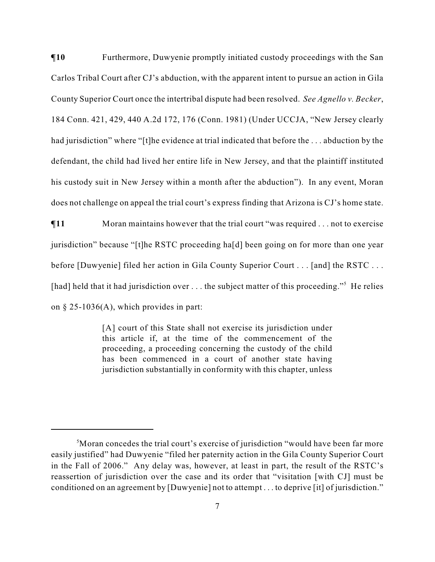$\P$ **10** Furthermore, Duwyenie promptly initiated custody proceedings with the San Carlos Tribal Court after CJ's abduction, with the apparent intent to pursue an action in Gila County Superior Court once the intertribal dispute had been resolved. *See Agnello v. Becker*, 184 Conn. 421, 429, 440 A.2d 172, 176 (Conn. 1981) (Under UCCJA, "New Jersey clearly had jurisdiction" where "[t]he evidence at trial indicated that before the ... abduction by the defendant, the child had lived her entire life in New Jersey, and that the plaintiff instituted his custody suit in New Jersey within a month after the abduction"). In any event, Moran does not challenge on appeal the trial court's express finding that Arizona is CJ's home state.

**¶11** Moran maintains however that the trial court "was required . . . not to exercise jurisdiction" because "[t]he RSTC proceeding ha[d] been going on for more than one year before [Duwyenie] filed her action in Gila County Superior Court . . . [and] the RSTC . . . [had] held that it had jurisdiction over  $\dots$  the subject matter of this proceeding."<sup>5</sup> He relies on § 25-1036(A), which provides in part:

> [A] court of this State shall not exercise its jurisdiction under this article if, at the time of the commencement of the proceeding, a proceeding concerning the custody of the child has been commenced in a court of another state having jurisdiction substantially in conformity with this chapter, unless

<sup>&</sup>lt;sup>5</sup>Moran concedes the trial court's exercise of jurisdiction "would have been far more" easily justified" had Duwyenie "filed her paternity action in the Gila County Superior Court in the Fall of 2006." Any delay was, however, at least in part, the result of the RSTC's reassertion of jurisdiction over the case and its order that "visitation [with CJ] must be conditioned on an agreement by [Duwyenie] not to attempt . . . to deprive [it] of jurisdiction."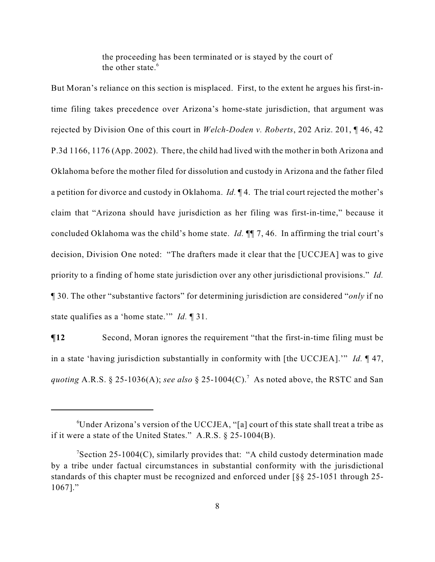the proceeding has been terminated or is stayed by the court of the other state.<sup>6</sup>

But Moran's reliance on this section is misplaced. First, to the extent he argues his first-intime filing takes precedence over Arizona's home-state jurisdiction, that argument was rejected by Division One of this court in *Welch-Doden v. Roberts*, 202 Ariz. 201, ¶ 46, 42 P.3d 1166, 1176 (App. 2002). There, the child had lived with the mother in both Arizona and Oklahoma before the mother filed for dissolution and custody in Arizona and the father filed a petition for divorce and custody in Oklahoma. *Id.* ¶ 4. The trial court rejected the mother's claim that "Arizona should have jurisdiction as her filing was first-in-time," because it concluded Oklahoma was the child's home state. *Id.* ¶¶ 7, 46. In affirming the trial court's decision, Division One noted: "The drafters made it clear that the [UCCJEA] was to give priority to a finding of home state jurisdiction over any other jurisdictional provisions." *Id.* ¶ 30. The other "substantive factors" for determining jurisdiction are considered "*only* if no state qualifies as a 'home state.'" *Id.* ¶ 31.

**¶12** Second, Moran ignores the requirement "that the first-in-time filing must be in a state 'having jurisdiction substantially in conformity with [the UCCJEA].'" *Id.* ¶ 47, *quoting* A.R.S. § 25-1036(A); *see also* § 25-1004(C).<sup>7</sup> As noted above, the RSTC and San

 $\text{"Under Arizona's version of the UCUEA, "[a] court of this state shall treat a triple as}$ if it were a state of the United States." A.R.S. § 25-1004(B).

 $\text{Section 25-1004}(C)$ , similarly provides that: "A child custody determination made by a tribe under factual circumstances in substantial conformity with the jurisdictional standards of this chapter must be recognized and enforced under [§§ 25-1051 through 25- 1067]."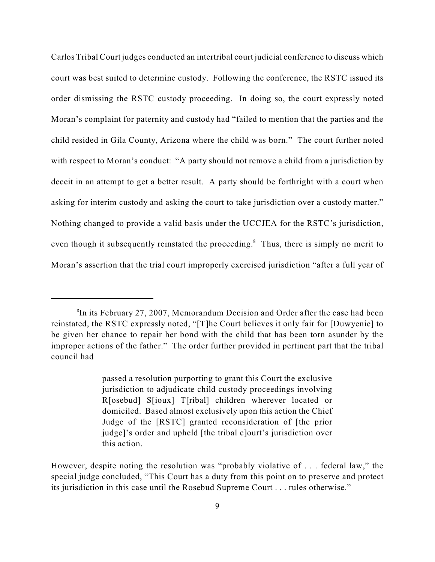Carlos Tribal Court judges conducted an intertribal court judicial conference to discuss which court was best suited to determine custody. Following the conference, the RSTC issued its order dismissing the RSTC custody proceeding. In doing so, the court expressly noted Moran's complaint for paternity and custody had "failed to mention that the parties and the child resided in Gila County, Arizona where the child was born." The court further noted with respect to Moran's conduct: "A party should not remove a child from a jurisdiction by deceit in an attempt to get a better result. A party should be forthright with a court when asking for interim custody and asking the court to take jurisdiction over a custody matter." Nothing changed to provide a valid basis under the UCCJEA for the RSTC's jurisdiction, even though it subsequently reinstated the proceeding.<sup>8</sup> Thus, there is simply no merit to Moran's assertion that the trial court improperly exercised jurisdiction "after a full year of

 ${}^{8}$ In its February 27, 2007, Memorandum Decision and Order after the case had been reinstated, the RSTC expressly noted, "[T]he Court believes it only fair for [Duwyenie] to be given her chance to repair her bond with the child that has been torn asunder by the improper actions of the father." The order further provided in pertinent part that the tribal council had

passed a resolution purporting to grant this Court the exclusive jurisdiction to adjudicate child custody proceedings involving R[osebud] S[ioux] T[ribal] children wherever located or domiciled. Based almost exclusively upon this action the Chief Judge of the [RSTC] granted reconsideration of [the prior judge]'s order and upheld [the tribal c]ourt's jurisdiction over this action.

However, despite noting the resolution was "probably violative of . . . federal law," the special judge concluded, "This Court has a duty from this point on to preserve and protect its jurisdiction in this case until the Rosebud Supreme Court . . . rules otherwise."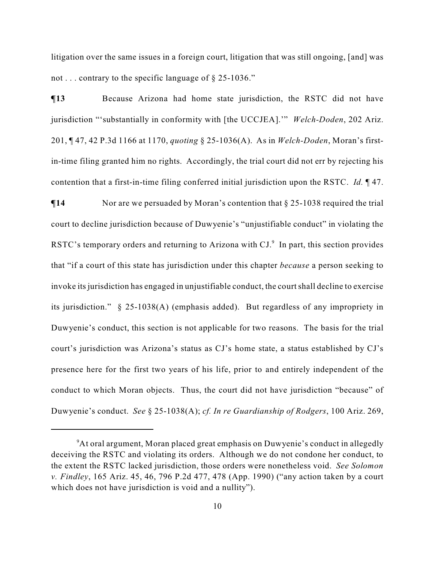litigation over the same issues in a foreign court, litigation that was still ongoing, [and] was not . . . contrary to the specific language of § 25-1036."

**¶13** Because Arizona had home state jurisdiction, the RSTC did not have jurisdiction "'substantially in conformity with [the UCCJEA].'" *Welch-Doden*, 202 Ariz. 201, ¶ 47, 42 P.3d 1166 at 1170, *quoting* § 25-1036(A). As in *Welch-Doden*, Moran's firstin-time filing granted him no rights. Accordingly, the trial court did not err by rejecting his contention that a first-in-time filing conferred initial jurisdiction upon the RSTC. *Id.* ¶ 47.

 $\P$ **14** Nor are we persuaded by Moran's contention that § 25-1038 required the trial court to decline jurisdiction because of Duwyenie's "unjustifiable conduct" in violating the RSTC's temporary orders and returning to Arizona with  $CI<sup>9</sup>$ . In part, this section provides that "if a court of this state has jurisdiction under this chapter *because* a person seeking to invoke its jurisdiction has engaged in unjustifiable conduct, the court shall decline to exercise its jurisdiction." § 25-1038(A) (emphasis added). But regardless of any impropriety in Duwyenie's conduct, this section is not applicable for two reasons. The basis for the trial court's jurisdiction was Arizona's status as CJ's home state, a status established by CJ's presence here for the first two years of his life, prior to and entirely independent of the conduct to which Moran objects. Thus, the court did not have jurisdiction "because" of Duwyenie's conduct. *See* § 25-1038(A); *cf. In re Guardianship of Rodgers*, 100 Ariz. 269,

<sup>&</sup>lt;sup>9</sup>At oral argument, Moran placed great emphasis on Duwyenie's conduct in allegedly deceiving the RSTC and violating its orders. Although we do not condone her conduct, to the extent the RSTC lacked jurisdiction, those orders were nonetheless void. *See Solomon v. Findley*, 165 Ariz. 45, 46, 796 P.2d 477, 478 (App. 1990) ("any action taken by a court which does not have jurisdiction is void and a nullity").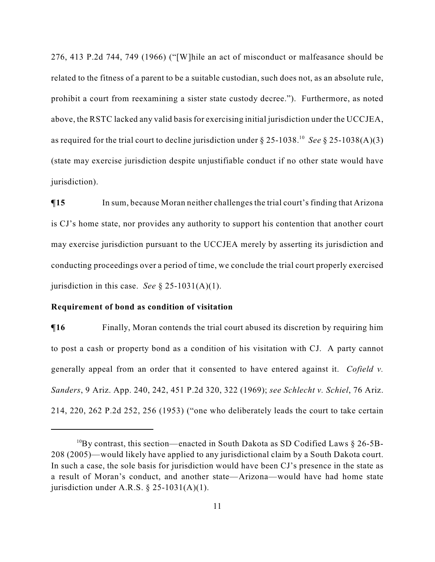276, 413 P.2d 744, 749 (1966) ("[W]hile an act of misconduct or malfeasance should be related to the fitness of a parent to be a suitable custodian, such does not, as an absolute rule, prohibit a court from reexamining a sister state custody decree."). Furthermore, as noted above, the RSTC lacked any valid basis for exercising initial jurisdiction under the UCCJEA, as required for the trial court to decline jurisdiction under  $\S 25{\text -}1038$ .<sup>10</sup> See  $\S 25{\text -}1038(A)(3)$ (state may exercise jurisdiction despite unjustifiable conduct if no other state would have jurisdiction).

 $\P$ **15** In sum, because Moran neither challenges the trial court's finding that Arizona is CJ's home state, nor provides any authority to support his contention that another court may exercise jurisdiction pursuant to the UCCJEA merely by asserting its jurisdiction and conducting proceedings over a period of time, we conclude the trial court properly exercised jurisdiction in this case. *See* § 25-1031(A)(1).

## **Requirement of bond as condition of visitation**

 $\P$ **16** Finally, Moran contends the trial court abused its discretion by requiring him to post a cash or property bond as a condition of his visitation with CJ. A party cannot generally appeal from an order that it consented to have entered against it. *Cofield v. Sanders*, 9 Ariz. App. 240, 242, 451 P.2d 320, 322 (1969); *see Schlecht v. Schiel*, 76 Ariz. 214, 220, 262 P.2d 252, 256 (1953) ("one who deliberately leads the court to take certain

<sup>&</sup>lt;sup>10</sup>By contrast, this section—enacted in South Dakota as SD Codified Laws  $\S 26$ -5B-208 (2005)—would likely have applied to any jurisdictional claim by a South Dakota court. In such a case, the sole basis for jurisdiction would have been CJ's presence in the state as a result of Moran's conduct, and another state—Arizona—would have had home state jurisdiction under A.R.S.  $\S$  25-1031(A)(1).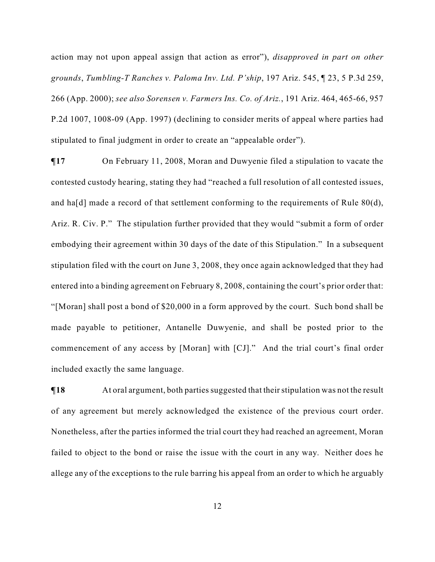action may not upon appeal assign that action as error"), *disapproved in part on other grounds*, *Tumbling-T Ranches v. Paloma Inv. Ltd. P'ship*, 197 Ariz. 545, ¶ 23, 5 P.3d 259, 266 (App. 2000); *see also Sorensen v. Farmers Ins. Co. of Ariz.*, 191 Ariz. 464, 465-66, 957 P.2d 1007, 1008-09 (App. 1997) (declining to consider merits of appeal where parties had stipulated to final judgment in order to create an "appealable order").

**¶17** On February 11, 2008, Moran and Duwyenie filed a stipulation to vacate the contested custody hearing, stating they had "reached a full resolution of all contested issues, and ha[d] made a record of that settlement conforming to the requirements of Rule 80(d), Ariz. R. Civ. P." The stipulation further provided that they would "submit a form of order embodying their agreement within 30 days of the date of this Stipulation." In a subsequent stipulation filed with the court on June 3, 2008, they once again acknowledged that they had entered into a binding agreement on February 8, 2008, containing the court's prior order that: "[Moran] shall post a bond of \$20,000 in a form approved by the court. Such bond shall be made payable to petitioner, Antanelle Duwyenie, and shall be posted prior to the commencement of any access by [Moran] with [CJ]." And the trial court's final order included exactly the same language.

**¶18** At oral argument, both parties suggested that their stipulation was not the result of any agreement but merely acknowledged the existence of the previous court order. Nonetheless, after the parties informed the trial court they had reached an agreement, Moran failed to object to the bond or raise the issue with the court in any way. Neither does he allege any of the exceptions to the rule barring his appeal from an order to which he arguably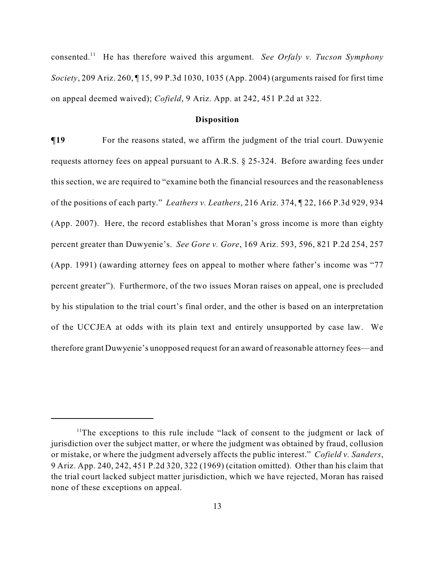consented.<sup>11</sup> He has therefore waived this argument. *See Orfaly v. Tucson Symphony Society*, 209 Ariz. 260, ¶ 15, 99 P.3d 1030, 1035 (App. 2004) (arguments raised for first time on appeal deemed waived); *Cofield*, 9 Ariz. App. at 242, 451 P.2d at 322.

### **Disposition**

 $\P$ **19** For the reasons stated, we affirm the judgment of the trial court. Duwyenie requests attorney fees on appeal pursuant to A.R.S. § 25-324. Before awarding fees under this section, we are required to "examine both the financial resources and the reasonableness of the positions of each party." *Leathers v. Leathers*, 216 Ariz. 374, ¶ 22, 166 P.3d 929, 934 (App. 2007). Here, the record establishes that Moran's gross income is more than eighty percent greater than Duwyenie's. *See Gore v. Gore*, 169 Ariz. 593, 596, 821 P.2d 254, 257 (App. 1991) (awarding attorney fees on appeal to mother where father's income was "77 percent greater"). Furthermore, of the two issues Moran raises on appeal, one is precluded by his stipulation to the trial court's final order, and the other is based on an interpretation of the UCCJEA at odds with its plain text and entirely unsupported by case law. We therefore grant Duwyenie's unopposed request for an award of reasonable attorney fees—and

 $11$ The exceptions to this rule include "lack of consent to the judgment or lack of jurisdiction over the subject matter, or where the judgment was obtained by fraud, collusion or mistake, or where the judgment adversely affects the public interest." *Cofield v. Sanders*, 9 Ariz. App. 240, 242, 451 P.2d 320, 322 (1969) (citation omitted). Other than his claim that the trial court lacked subject matter jurisdiction, which we have rejected, Moran has raised none of these exceptions on appeal.